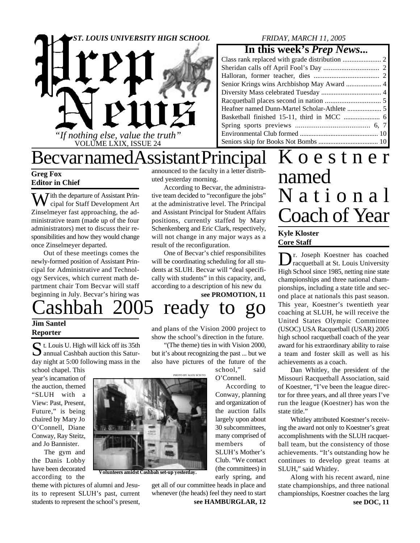

## *FRIDAY, MARCH 11, 2005*

## **In this week's** *Prep News***...**

## Becvar named Assistant Principal

## **Greg Fox Editor in Chief**

 $\sum$  *J* ith the departure of Assistant Principal for Staff Development Art Zinselmeyer fast approaching, the administrative team (made up of the four administrators) met to discuss their responsibilities and how they would change once Zinselmeyer departed.

Out of these meetings comes the newly-formed position of Assistant Principal for Administrative and Technology Services, which current math department chair Tom Becvar will staff beginning in July. Becvar's hiring was announced to the faculty in a letter distributed yesterday morning.

According to Becvar, the administrative team decided to "reconfigure the jobs" at the administrative level. The Principal and Assistant Principal for Student Affairs positions, currently staffed by Mary Schenkenberg and Eric Clark, respectively, will not change in any major ways as a result of the reconfiguration.

One of Becvar's chief responsibilites will be coordinating scheduling for all students at SLUH. Becvar will "deal specifically with students" in this capacity, and, according to a description of his new du

**see PROMOTION, 11**

Cashbah 2005 ready to go

## **Jim Santel Reporter**

St. Louis U. High will kick off its 35th<br>annual Cashbah auction this Satur-**D** annual Cashbah auction this Saturday night at 5:00 following mass in the school chapel. This

year's incarnation of the auction, themed "SLUH with a View: Past, Present, Future," is being chaired by Mary Jo O'Connell, Diane Conway, Ray Steitz, and Jo Bannister.

The gym and the Danis Lobby have been decorated according to the

theme with pictures of alumni and Jesuits to represent SLUH's past, current students to represent the school's present, and plans of the Vision 2000 project to show the school's direction in the future.

"(The theme) ties in with Vision 2000, but it's about recognizing the past ... but we also have pictures of the future of the

> **PHOTO BY ALEX SCIUTO** school," said

O'Connell. According to Conway, planning and organization of the auction falls largely upon about 30 subcommittees, many comprised of members of SLUH's Mother's Club. "We contact (the committees) in early spring, and

get all of our committee heads in place and whenever (the heads) feel they need to start

**see HAMBURGLAR, 12**

**Kyle Kloster** K o e s t n e r named N a t i o n a l Coach of Year

## **Core Staff**

Dr. Joseph Koestner has coached r. Joseph Koestner has coached High School since 1985, netting nine state championships and three national championships, including a state title and second place at nationals this past season. This year, Koestner's twentieth year coaching at SLUH, he will receive the United States Olympic Committee (USOC) USA Racquetball (USAR) 2005 high school racquetball coach of the year award for his extraordinary ability to raise a team and foster skill as well as his achievements as a coach.

Dan Whitley, the president of the Missouri Racquetball Association, said of Koestner, "I've been the league director for three years, and all three years I've run the league (Koestner) has won the state title."

Whitley attributed Koestner's receiving the award not only to Koestner's great accomplishments with the SLUH racquetball team, but the consistency of those achievements. "It's outstanding how he continues to develop great teams at SLUH," said Whitley.

Along with his recent award, nine state championships, and three national championships, Koestner coaches the larg



**Volunteers amidst Cashbah set-up yesterday.**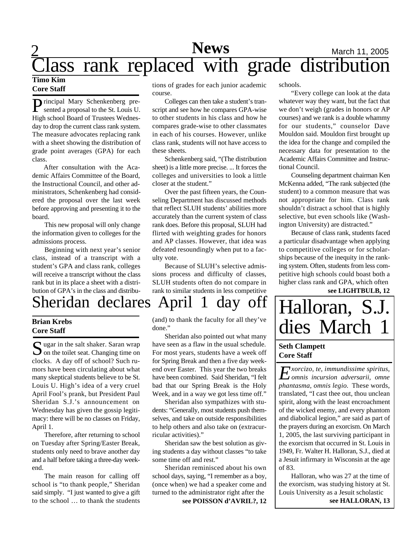## 2 **News** March 11, 2005 **News** Class rank replaced with grade distribution

## **Timo Kim Core Staff**

**P** rincipal Mary Schenkenberg pre-<br>sented a proposal to the St. Louis U. **D**rincipal Mary Schenkenberg pre-High school Board of Trustees Wednesday to drop the current class rank system. The measure advocates replacing rank with a sheet showing the distribution of grade point averages (GPA) for each class.

After consultation with the Academic Affairs Committee of the Board, the Instructional Council, and other administrators, Schenkenberg had considered the proposal over the last week before approving and presenting it to the board.

This new proposal will only change the information given to colleges for the admissions process.

Beginning with next year's senior class, instead of a transcript with a student's GPA and class rank, colleges will receive a transcript without the class rank but in its place a sheet with a distribution of GPA's in the class and distributions of grades for each junior academic course.

Colleges can then take a student's transcript and see how he compares GPA-wise to other students in his class and how he compares grade-wise to other classmates in each of his courses. However, unlike class rank, students will not have access to these sheets.

Schenkenberg said, "(The distribution sheet) is a little more precise. ... It forces the colleges and universities to look a little closer at the student."

Over the past fifteen years, the Counseling Department has discussed methods that reflect SLUH students' abilities more accurately than the current system of class rank does. Before this proposal, SLUH had flirted with weighting grades for honors and AP classes. However, that idea was defeated resoundingly when put to a faculty vote.

Because of SLUH's selective admissions process and difficulty of classes, SLUH students often do not compare in rank to similar students in less competitive schools.

"Every college can look at the data whatever way they want, but the fact that we don't weigh (grades in honors or AP courses) and we rank is a double whammy for our students," counselor Dave Mouldon said. Mouldon first brought up the idea for the change and compiled the necessary data for presentation to the Academic Affairs Committee and Instructional Council.

Counseling department chairman Ken McKenna added, "The rank subjected (the student) to a common measure that was not appropriate for him. Class rank shouldn't distract a school that is highly selective, but even schools like (Washington University) are distracted."

Because of class rank, students faced a particular disadvantage when applying to competitive colleges or for scholarships because of the inequity in the ranking system. Often, students from less competitive high schools could boast both a higher class rank and GPA, which often

**see LIGHTBULB, 12**

# Sheridan declares April 1 day off

## **Brian Krebs Core Staff**

Sugar in the salt shaker. Saran wrap<br>
on the toilet seat. Changing time on  $\sum$  on the toilet seat. Changing time on clocks. A day off of school? Such rumors have been circulating about what many skeptical students believe to be St. Louis U. High's idea of a very cruel April Fool's prank, but President Paul Sheridan S.J.'s announcement on Wednesday has given the gossip legitimacy: there will be no classes on Friday, April 1.

Therefore, after returning to school on Tuesday after Spring/Easter Break, students only need to brave another day and a half before taking a three-day weekend.

The main reason for calling off school is "to thank people," Sheridan said simply. "I just wanted to give a gift to the school … to thank the students

(and) to thank the faculty for all they've done."

Sheridan also pointed out what many have seen as a flaw in the usual schedule. For most years, students have a week off for Spring Break and then a five day weekend over Easter. This year the two breaks have been combined. Said Sheridan, "I felt bad that our Spring Break is the Holy Week, and in a way we got less time off."

Sheridan also sympathizes with students: "Generally, most students push themselves, and take on outside responsibilities to help others and also take on (extracurricular activities)."

Sheridan saw the best solution as giving students a day without classes "to take some time off and rest."

Sheridan reminisced about his own school days, saying, "I remember as a boy, (once when) we had a speaker come and turned to the administrator right after the

**see POISSON d'AVRIL?, 12 see HALLORAN, 13** 

# Halloran, S.J. dies March 1

## **Seth Clampett Core Staff**

*E omnis incursion adversarii, omne xorcizo, te, immundissime spiritus, phantasma, omnis legio.* These words, translated, "I cast thee out, thou unclean spirit, along with the least encroachment of the wicked enemy, and every phantom and diabolical legion," are said as part of the prayers during an exorcism. On March 1, 2005, the last surviving participant in the exorcism that occurred in St. Louis in 1949, Fr. Walter H. Halloran, S.J., died at a Jesuit infirmary in Wisconsin at the age of 83.

Halloran, who was 27 at the time of the exorcism, was studying history at St. Louis University as a Jesuit scholastic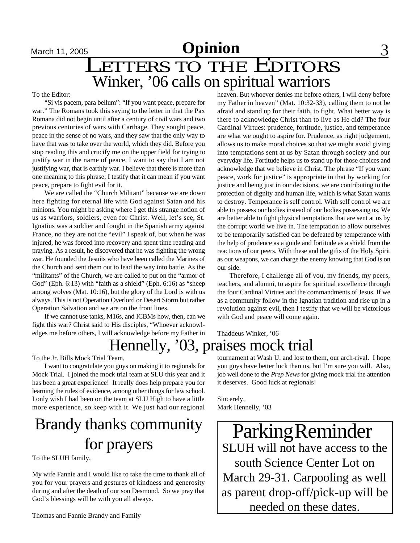## **March 11, 2005 Opinion** 3 LETTERS TO THE EDITORS Winker, '06 calls on spiritual warriors

### To the Editor:

"Si vis pacem, para bellum": "If you want peace, prepare for war." The Romans took this saying to the letter in that the Pax Romana did not begin until after a century of civil wars and two previous centuries of wars with Carthage. They sought peace, peace in the sense of no wars, and they saw that the only way to have that was to take over the world, which they did. Before you stop reading this and crucify me on the upper field for trying to justify war in the name of peace, I want to say that I am not justifying war, that is earthly war. I believe that there is more than one meaning to this phrase; I testify that it can mean if you want peace, prepare to fight evil for it.

We are called the "Church Militant" because we are down here fighting for eternal life with God against Satan and his minions. You might be asking where I get this strange notion of us as warriors, soldiers, even for Christ. Well, let's see, St. Ignatius was a soldier and fought in the Spanish army against France, no they are not the "evil" I speak of, but when he was injured, he was forced into recovery and spent time reading and praying. As a result, he discovered that he was fighting the wrong war. He founded the Jesuits who have been called the Marines of the Church and sent them out to lead the way into battle. As the "militants" of the Church, we are called to put on the "armor of God" (Eph. 6:13) with "faith as a shield" (Eph. 6:16) as "sheep among wolves (Mat. 10:16), but the glory of the Lord is with us always. This is not Operation Overlord or Desert Storm but rather Operation Salvation and we are on the front lines.

If we cannot use tanks, M16s, and ICBMs how, then, can we fight this war? Christ said to His disciples, "Whoever acknowledges me before others, I will acknowledge before my Father in heaven. But whoever denies me before others, I will deny before my Father in heaven" (Mat. 10:32-33), calling them to not be afraid and stand up for their faith, to fight. What better way is there to acknowledge Christ than to live as He did? The four Cardinal Virtues: prudence, fortitude, justice, and temperance are what we ought to aspire for. Prudence, as right judgement, allows us to make moral choices so that we might avoid giving into temptations sent at us by Satan through society and our everyday life. Fortitude helps us to stand up for those choices and acknowledge that we believe in Christ. The phrase "If you want peace, work for justice" is appropriate in that by working for justice and being just in our decisions, we are contributing to the protection of dignity and human life, which is what Satan wants to destroy. Temperance is self control. With self control we are able to possess our bodies instead of our bodies possessing us. We are better able to fight physical temptations that are sent at us by the corrupt world we live in. The temptation to allow ourselves to be temporarily satisfied can be defeated by temperance with the help of prudence as a guide and fortitude as a shield from the reactions of our peers. With these and the gifts of the Holy Spirit as our weapons, we can charge the enemy knowing that God is on our side.

Therefore, I challenge all of you, my friends, my peers, teachers, and alumni, to aspire for spiritual excellence through the four Cardinal Virtues and the commandments of Jesus. If we as a community follow in the Ignatian tradition and rise up in a revolution against evil, then I testify that we will be victorious with God and peace will come again.

Thaddeus Winker, '06

## Hennelly, '03, praises mock trial

To the Jr. Bills Mock Trial Team,

I want to congratulate you guys on making it to regionals for Mock Trial. I joined the mock trial team at SLU this year and it has been a great experience! It really does help prepare you for learning the rules of evidence, among other things for law school. I only wish I had been on the team at SLU High to have a little more experience, so keep with it. We just had our regional

# Brandy thanks community

To the SLUH family,

My wife Fannie and I would like to take the time to thank all of you for your prayers and gestures of kindness and generosity during and after the death of our son Desmond. So we pray that God's blessings will be with you all always.

Thomas and Fannie Brandy and Family

tournament at Wash U. and lost to them, our arch-rival. I hope you guys have better luck than us, but I'm sure you will. Also, job well done to the *Prep News* for giving mock trial the attention it deserves. Good luck at regionals!

Sincerely, Mark Hennelly, '03

 $\frac{1}{100}$  for prayers  $\frac{1}{100}$  SLUH will not have access to the south Science Center Lot on March 29-31. Carpooling as well as parent drop-off/pick-up will be needed on these dates. Parking Reminder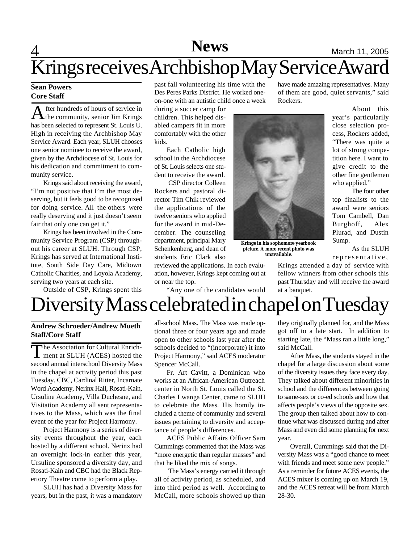# **4 News** March 11, 2005 Krings receives Archbishop May Service Award

## **Sean Powers Core Staff**

A fter hundreds of hours of service in<br>the community, senior Jim Krings fter hundreds of hours of service in has been selected to represent St. Louis U. High in receiving the Archbishop May Service Award. Each year, SLUH chooses one senior nominee to receive the award, given by the Archdiocese of St. Louis for his dedication and commitment to community service.

Krings said about receiving the award, "I'm not positive that I'm the most deserving, but it feels good to be recognized for doing service. All the others were really deserving and it just doesn't seem fair that only one can get it."

Krings has been involved in the Community Service Program (CSP) throughout his career at SLUH. Through CSP, Krings has served at International Institute, South Side Day Care, Midtown Catholic Charities, and Loyola Academy, serving two years at each site.

Outside of CSP, Krings spent this

past fall volunteering his time with the Des Peres Parks District. He worked oneon-one with an autistic child once a week

during a soccer camp for children. This helped disabled campers fit in more comfortably with the other kids.

Each Catholic high school in the Archdiocese of St. Louis selects one student to receive the award.

 CSP director Colleen Rockers and pastoral director Tim Chik reviewed the applications of the twelve seniors who applied for the award in mid-December. The counseling department, principal Mary Schenkenberg, and dean of students Eric Clark also

reviewed the applications. In each evaluation, however, Krings kept coming out at or near the top.

"Any one of the candidates would

have made amazing representatives. Many of them are good, quiet servants," said Rockers.



**Krings in his sophomore yearbook picture. A more recent photo was unavailable.**

About this year's particularily close selection process, Rockers added, "There was quite a lot of strong competition here. I want to give credit to the other fine gentlemen who applied."

The four other top finalists to the award were seniors Tom Cambell, Dan Burghoff, Alex Plurad, and Dustin Sump.

As the SLUH representative,

Krings attended a day of service with fellow winners from other schools this past Thursday and will receive the award at a banquet.

# Diversity Mass celebrated in chapel on Tuesday

## **Andrew Schroeder/Andrew Mueth Staff/Core Staff**

The Association for Cultural Enrich-<br>
ment at SLUH (ACES) hosted the The Association for Cultural Enrichsecond annual interschool Diversity Mass in the chapel at activity period this past Tuesday. CBC, Cardinal Ritter, Incarnate Word Academy, Nerinx Hall, Rosati-Kain, Ursuline Academy, Villa Duchesne, and Visitation Academy all sent representatives to the Mass, which was the final event of the year for Project Harmony.

Project Harmony is a series of diversity events throughout the year, each hosted by a different school. Nerinx had an overnight lock-in earlier this year, Ursuline sponsored a diversity day, and Rosati-Kain and CBC had the Black Repertory Theatre come to perform a play.

SLUH has had a Diversity Mass for years, but in the past, it was a mandatory all-school Mass. The Mass was made optional three or four years ago and made open to other schools last year after the schools decided to "(incorporate) it into Project Harmony," said ACES moderator Spencer McCall.

Fr. Art Cavitt, a Dominican who works at an African-American Outreach center in North St. Louis called the St. Charles Lwanga Center, came to SLUH to celebrate the Mass. His homily included a theme of community and several issues pertaining to diversity and acceptance of people's differences.

ACES Public Affairs Officer Sam Cummings commented that the Mass was "more energetic than regular masses" and that he liked the mix of songs.

 The Mass's energy carried it through all of activity period, as scheduled, and into third period as well. According to McCall, more schools showed up than

they originally planned for, and the Mass got off to a late start. In addition to starting late, the "Mass ran a little long," said McCall.

After Mass, the students stayed in the chapel for a large discussion about some of the diversity issues they face every day. They talked about different minorities in school and the differences between going to same-sex or co-ed schools and how that affects people's views of the opposite sex. The group then talked about how to continue what was discussed during and after Mass and even did some planning for next year.

Overall, Cummings said that the Diversity Mass was a "good chance to meet with friends and meet some new people." As a reminder for future ACES events, the ACES mixer is coming up on March 19, and the ACES retreat will be from March 28-30.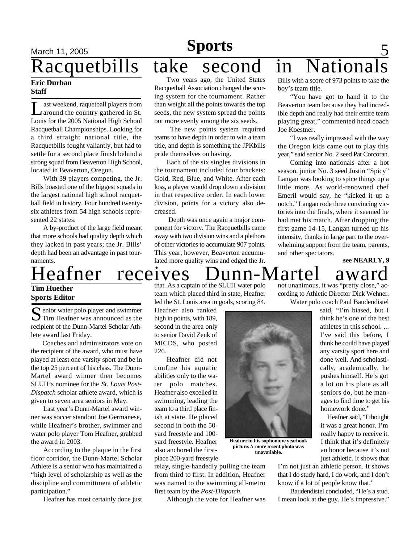### **Eric Durban Staff**

 $\prod$ ast weekend, raquetball players from around the country gathered in St. Louis for the 2005 National High School Racquetball Championships. Looking for a third straight national title, the Racquetbills fought valiantly, but had to settle for a second place finish behind a strong squad from Beaverton High School, located in Beaverton, Oregon.

With 39 players competing, the Jr. Bills boasted one of the biggest squads in the largest national high school racquetball field in history. Four hundred twentysix athletes from 54 high schools represented 22 states.

A by-product of the large field meant that more schools had quality depth which they lacked in past years; the Jr. Bills' depth had been an advantage in past tournaments.

# leafner receives Dunn-Martel award

## **Tim Huether Sports Editor**

S enior water polo player and swimmer<br>
S Tim Heafner was announced as the **T** Tim Heafner was announced as the recipient of the Dunn-Martel Scholar Athlete award last Friday.

Coaches and administrators vote on the recipient of the award, who must have played at least one varsity sport and be in the top 25 percent of his class. The Dunn-Martel award winner then becomes SLUH's nominee for the *St. Louis Post-Dispatch* scholar athlete award, which is given to seven area seniors in May.

Last year's Dunn-Martel award winner was soccer standout Joe Germanese, while Heafner's brother, swimmer and water polo player Tom Heafner, grabbed the award in 2003.

According to the plaque in the first floor corridor, the Dunn-Martel Scholar Athlete is a senior who has maintained a "high level of scholarship as well as the discipline and committment of athletic participation."

Heafner has most certainly done just

## **Sports**

Racquetbills take second in Nationals

Two years ago, the United States Racquetball Association changed the scoring system for the tournament. Rather than weight all the points towards the top seeds, the new system spread the points out more evenly among the six seeds.

The new points system required teams to have depth in order to win a team title, and depth is something the JPKbills pride themselves on having.

Each of the six singles divisions in the tournament included four brackets: Gold, Red, Blue, and White. After each loss, a player would drop down a division in that respective order. In each lower division, points for a victory also decreased.

 Depth was once again a major component for victory. The Racquetbills came away with two division wins and a plethora of other victories to accumulate 907 points. This year, however, Beaverton accumulated more quality wins and edged the Jr.

Bills with a score of 973 points to take the boy's team title.

"You have got to hand it to the Beaverton team because they had incredible depth and really had their entire team playing great," commented head coach Joe Koestner.

"I was really impressed with the way the Oregon kids came out to play this year," said senior No. 2 seed Pat Corcoran.

Coming into nationals after a hot season, junior No. 3 seed Justin "Spicy" Langan was looking to spice things up a little more. As world-renowned chef Emeril would say, he "kicked it up a notch." Langan rode three convincing victories into the finals, where it seemed he had met his match. After dropping the first game 14-15, Langan turned up his intensity, thanks in large part to the overwhelming support from the team, parents, and other spectators.

**see NEARLY, 9**

that. As a captain of the SLUH water polo team which placed third in state, Heafner led the St. Louis area in goals, scoring 84.

Heafner also ranked high in points, with 189, second in the area only to senior David Zenk of MICDS, who posted 226.

Heafner did not confine his aquatic abilities only to the water polo matches. Heafner also excelled in swimming, leading the team to a third place finish at state. He placed second in both the 50 yard freestyle and 100 yard freestyle. Heafner also anchored the firstplace 200-yard freestyle

relay, single-handedly pulling the team from third to first. In addition, Heafner was named to the swimming all-metro first team by the *Post-Dispatch*.

Although the vote for Heafner was

not unanimous, it was "pretty close," according to Athletic Director Dick Wehner. Water polo coach Paul Baudendistel

> said, "I'm biased, but I think he's one of the best athletes in this school. ... I've said this before, I think he could have played any varsity sport here and done well. And scholastically, academically, he pushes himself. He's got a lot on his plate as all seniors do, but he manages to find time to get his homework done."

Heafner said, "I thought it was a great honor. I'm really happy to receive it. I think that it's definitely an honor because it's not just athletic. It shows that

I'm not just an athletic person. It shows that I do study hard, I do work, and I don't know if a lot of people know that."

Baudendistel concluded, "He's a stud. I mean look at the guy. He's impressive."



**picture. A more recent photo was unavailable.**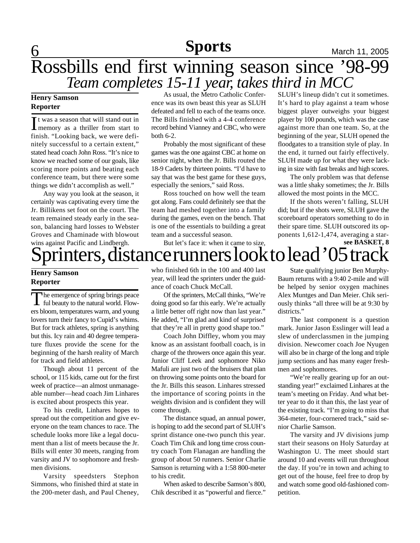## **6 News News News March 11, 2005 Sports**

## Rossbills end first winning season since '98-99 *Team completes 15-11 year, takes third in MCC*

## **Henry Samson Reporter**

It was a season that will stand out in<br>memory as a thriller from start to t was a season that will stand out in finish. "Looking back, we were definitely successful to a certain extent," stated head coach John Ross. "It's nice to know we reached some of our goals, like scoring more points and beating each conference team, but there were some things we didn't accomplish as well."

Any way you look at the season, it certainly was captivating every time the Jr. Billikens set foot on the court. The team remained steady early in the season, balancing hard losses to Webster Groves and Chaminade with blowout wins against Pacific and Lindbergh.

As usual, the Metro Catholic Conference was its own beast this year as SLUH defeated and fell to each of the teams once. The Bills finished with a 4-4 conference record behind Vianney and CBC, who were both 6-2.

Probably the most significant of these games was the one against CBC at home on senior night, when the Jr. Bills routed the 18-9 Cadets by thirteen points. "I'd have to say that was the best game for these guys, especially the seniors," said Ross.

Ross touched on how well the team got along. Fans could definitely see that the team had meshed together into a family during the games, even on the bench. That is one of the essentials to building a great team and a successful season.

SLUH's lineup didn't cut it sometimes. It's hard to play against a team whose biggest player outweighs your biggest player by 100 pounds, which was the case against more than one team. So, at the beginning of the year, SLUH opened the floodgates to a transition style of play. In the end, it turned out fairly effectively. SLUH made up for what they were lacking in size with fast breaks and high scores.

The only problem was that defense was a little shaky sometimes; the Jr. Bills allowed the most points in the MCC.

If the shots weren't falling, SLUH did; but if the shots were, SLUH gave the scoreboard operators something to do in their spare time. SLUH outscored its opponents 1,612-1,474, averaging a star**see BASKET, 8**

## But let's face it: when it came to size, printers, distance runners look to lead '05 track

## **Henry Samson Reporter**

The emergence of spring brings peace<br>ful beauty to the natural world. Flowhe emergence of spring brings peace ers bloom, temperatures warm, and young lovers turn their fancy to Cupid's whims. But for track athletes, spring is anything but this. Icy rain and 40 degree temperature fluxes provide the scene for the beginning of the harsh reality of March for track and field athletes.

Though about 11 percent of the school, or 115 kids, came out for the first week of practice—an almost unmanageable number—head coach Jim Linhares is excited about prospects this year.

To his credit, Linhares hopes to spread out the competition and give everyone on the team chances to race. The schedule looks more like a legal document than a list of meets because the Jr. Bills will enter 30 meets, ranging from varsity and JV to sophomore and freshmen divisions.

Varsity speedsters Stephon Simmons, who finished third at state in the 200-meter dash, and Paul Cheney, who finished 6th in the 100 and 400 last year, will lead the sprinters under the guidance of coach Chuck McCall.

Of the sprinters, McCall thinks, "We're doing good so far this early. We're actually a little better off right now than last year." He added, "I'm glad and kind of surprised that they're all in pretty good shape too."

Coach John Diffley, whom you may know as an assistant football coach, is in charge of the throwers once again this year. Junior Cliff Leek and sophomore Niko Mafuli are just two of the bruisers that plan on throwing some points onto the board for the Jr. Bills this season. Linhares stressed the importance of scoring points in the weights division and is confident they will come through.

The distance squad, an annual power, is hoping to add the second part of SLUH's sprint distance one-two punch this year. Coach Tim Chik and long time cross country coach Tom Flanagan are handling the group of about 50 runners. Senior Charlie Samson is returning with a 1:58 800-meter to his credit.

When asked to describe Samson's 800, Chik described it as "powerful and fierce."

State qualifying junior Ben Murphy-Baum returns with a 9:40 2-mile and will be helped by senior oxygen machines Alex Muntges and Dan Meier. Chik seriously thinks "all three will be at 9:30 by districts."

The last component is a question mark. Junior Jason Esslinger will lead a slew of underclassmen in the jumping division. Newcomer coach Joe Nyugen will also be in charge of the long and triple jump sections and has many eager freshmen and sophomores.

"We're really gearing up for an outstanding year!" exclaimed Linhares at the team's meeting on Friday. And what better year to do it than this, the last year of the existing track. "I'm going to miss that 364-meter, four-cornered track," said senior Charlie Samson.

The varsity and JV divisions jump start their seasons on Holy Saturday at Washington U. The meet should start around 10 and events will run throughout the day. If you're in town and aching to get out of the house, feel free to drop by and watch some good old-fashioned competition.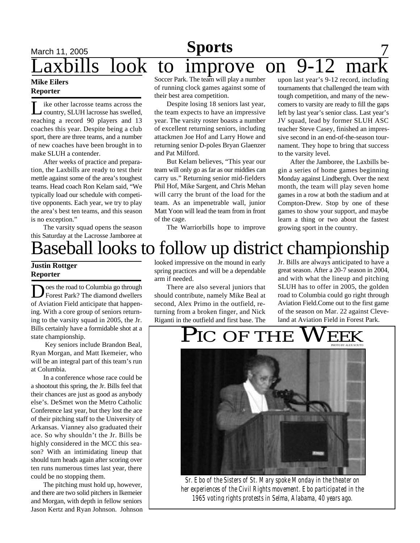## **March 11, 2005 Sports** 7 axbills look to improve on 9-12 ma upon last year's 9-12 record, including

### **Mike Eilers Reporter**

L ike other lacrosse teams across the country, SLUH lacrosse has swelled, reaching a record 90 players and 13 coaches this year. Despite being a club sport, there are three teams, and a number of new coaches have been brought in to make SLUH a contender.

After weeks of practice and preparation, the Laxbills are ready to test their mettle against some of the area's toughest teams. Head coach Ron Kelam said, "We typically load our schedule with competitive opponents. Each year, we try to play the area's best ten teams, and this season is no exception."

The varsity squad opens the season this Saturday at the Lacrosse Jamboree at

Soccer Park. The team will play a number of running clock games against some of their best area competition.

Despite losing 18 seniors last year, the team expects to have an impressive year. The varsity roster boasts a number of excellent returning seniors, including attackmen Joe Hof and Larry Howe and returning senior D-poles Bryan Glaenzer and Pat Milford.

But Kelam believes, "This year our team will only go as far as our middies can carry us." Returning senior mid-fielders Phil Hof, Mike Sargent, and Chris Mehan will carry the brunt of the load for the team. As an impenetrable wall, junior Matt Yoon will lead the team from in front of the cage.

The Warriorbills hope to improve

nament. They hope to bring that success to the varsity level. After the Jamboree, the Laxbills begin a series of home games beginning Monday against Lindbergh. Over the next month, the team will play seven home games in a row at both the stadium and at

Compton-Drew. Stop by one of these games to show your support, and maybe learn a thing or two about the fastest growing sport in the country.

tournaments that challenged the team with tough competition, and many of the newcomers to varsity are ready to fill the gaps left by last year's senior class. Last year's JV squad, lead by former SLUH ASC teacher Steve Casey, finished an impressive second in an end-of-the-season tour-

# Baseball looks to follow up district championship

## **Justin Rottger Reporter**

 $\sum$  oes the road to Columbia go through<br>Forest Park? The diamond dwellers oes the road to Columbia go through of Aviation Field anticipate that happening. With a core group of seniors returning to the varsity squad in 2005, the Jr. Bills certainly have a formidable shot at a state championship.

 Key seniors include Brandon Beal, Ryan Morgan, and Matt Ikemeier, who will be an integral part of this team's run at Columbia.

In a conference whose race could be a shootout this spring, the Jr. Bills feel that their chances are just as good as anybody else's. DeSmet won the Metro Catholic Conference last year, but they lost the ace of their pitching staff to the University of Arkansas. Vianney also graduated their ace. So why shouldn't the Jr. Bills be highly considered in the MCC this season? With an intimidating lineup that should turn heads again after scoring over ten runs numerous times last year, there could be no stopping them.

The pitching must hold up, however, and there are two solid pitchers in Ikemeier and Morgan, with depth in fellow seniors Jason Kertz and Ryan Johnson. Johnson

looked impressive on the mound in early spring practices and will be a dependable arm if needed.

There are also several juniors that should contribute, namely Mike Beal at second, Alex Primo in the outfield, returning from a broken finger, and Nick Riganti in the outfield and first base. The Jr. Bills are always anticipated to have a great season. After a 20-7 season in 2004, and with what the lineup and pitching SLUH has to offer in 2005, the golden road to Columbia could go right through Aviation Field.Come out to the first game of the season on Mar. 22 against Cleveland at Aviation Field in Forest Park.



*Sr. Ebo of the Sisters of St. Mary spoke Monday in the theater on her experiences of the Civil Rights movement. Ebo participated in the 1965 voting rights protests in Selma, Alabama, 40 years ago.*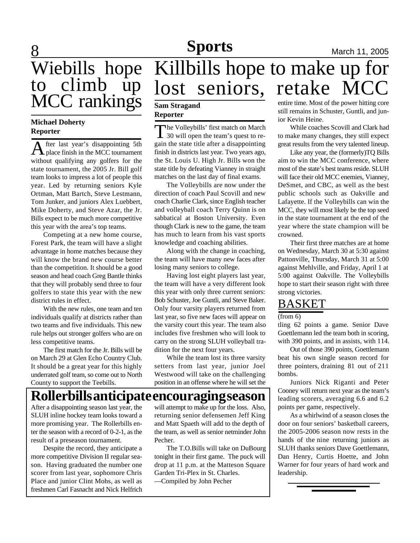## **Sports March 11, 2005**

## 8 Wiebills hope to climb up MCC rankings

## **Michael Doherty Reporter**

A fter last year's disappointing 5th<br>place finish in the MCC tournament fter last year's disappointing 5th without qualifying any golfers for the state tournament, the 2005 Jr. Bill golf team looks to impress a lot of people this year. Led by returning seniors Kyle Ortman, Matt Bartch, Steve Lestmann, Tom Junker, and juniors Alex Luebbert, Mike Doherty, and Steve Azar, the Jr. Bills expect to be much more competitive this year with the area's top teams.

Competing at a new home course, Forest Park, the team will have a slight advantage in home matches because they will know the brand new course better than the competition. It should be a good season and head coach Greg Bantle thinks that they will probably send three to four golfers to state this year with the new district rules in effect.

With the new rules, one team and ten individuals qualify at districts rather than two teams and five individuals. This new rule helps out stronger golfers who are on less competitive teams.

The first match for the Jr. Bills will be on March 29 at Glen Echo Country Club. It should be a great year for this highly underrated golf team, so come out to North County to support the Teebills.

# Killbills hope to make up for lost seniors, retake MCC

## **Sam Stragand Reporter**

The Volleybills' first match on March<br>30 will open the team's quest to re-The Volleybills' first match on March gain the state title after a disappointing finish in districts last year. Two years ago, the St. Louis U. High Jr. Bills won the state title by defeating Vianney in straight matches on the last day of final exams.

The Volleybills are now under the direction of coach Paul Scovill and new coach Charlie Clark, since English teacher and volleyball coach Terry Quinn is on sabbatical at Boston University. Even though Clark is new to the game, the team has much to learn from his vast sports knowledge and coaching abilities.

Along with the change in coaching, the team will have many new faces after losing many seniors to college.

Having lost eight players last year, the team will have a very different look this year with only three current seniors: Bob Schuster, Joe Guntli, and Steve Baker. Only four varsity players returned from last year, so five new faces will appear on the varsity court this year. The team also includes five freshmen who will look to carry on the strong SLUH volleyball tradition for the next four years.

While the team lost its three varsity setters from last year, junior Joel Westwood will take on the challenging position in an offense where he will set the

## **Rollerbills anticipate encouraging season**

After a disappointing season last year, the SLUH inline hockey team looks toward a more promising year. The Rollerbills enter the season with a record of 0-2-1, as the result of a preseason tournament.

Despite the record, they anticipate a more competitive Division II regular season. Having graduated the number one scorer from last year, sophomore Chris Place and junior Clint Mohs, as well as freshmen Carl Fasnacht and Nick Helfrich

will attempt to make up for the loss. Also, returning senior defensemen Jeff King and Matt Spaeth will add to the depth of the team, as well as senior netminder John Pecher.

The T.O.Bills will take on DuBourg tonight in their first game. The puck will drop at 11 p.m. at the Matteson Square Garden Tri-Plex in St. Charles.

—Compiled by John Pecher

entire time. Most of the power hitting core still remains in Schuster, Guntli, and junior Kevin Heine.

While coaches Scovill and Clark had to make many changes, they still expect great results from the very talented lineup.

Like any year, the (formerly)TQ Bills aim to win the MCC conference, where most of the state's best teams reside. SLUH will face their old MCC enemies, Vianney, DeSmet, and CBC, as well as the best public schools such as Oakville and Lafayette. If the Volleybills can win the MCC, they will most likely be the top seed in the state tournament at the end of the year where the state champion will be crowned.

Their first three matches are at home on Wednesday, March 30 at 5:30 against Pattonville, Thursday, March 31 at 5:00 against Mehlville, and Friday, April 1 at 5:00 against Oakville. The Volleybills hope to start their season right with three strong victories.

## BASKET

### (from 6)

tling 62 points a game. Senior Dave Goettlemann led the team both in scoring, with 390 points, and in assists, with 114.

Out of those 390 points, Goettlemann beat his own single season record for three pointers, draining 81 out of 211 bombs.

Juniors Nick Riganti and Peter Cooney will return next year as the team's leading scorers, averaging 6.6 and 6.2 points per game, respectively.

As a whirlwind of a season closes the door on four seniors' basketball careers, the 2005-2006 season now rests in the hands of the nine returning juniors as SLUH thanks seniors Dave Goettlemann, Dan Henry, Curtis Hoette, and John Warner for four years of hard work and leadership.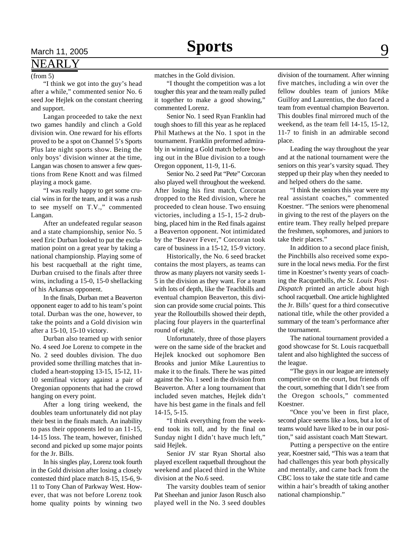## NEARLY

### (from 5)

"I think we got into the guy's head after a while," commented senior No. 6 seed Joe Hejlek on the constant cheering and support.

Langan proceeded to take the next two games handily and clinch a Gold division win. One reward for his efforts proved to be a spot on Channel 5's Sports Plus late night sports show. Being the only boys' division winner at the time, Langan was chosen to answer a few questions from Rene Knott and was filmed playing a mock game.

"I was really happy to get some crucial wins in for the team, and it was a rush to see myself on T.V.," commented Langan.

After an undefeated regular season and a state championship, senior No. 5 seed Eric Durban looked to put the exclamation point on a great year by taking a national championship. Playing some of his best racquetball at the right time, Durban cruised to the finals after three wins, including a 15-0, 15-0 shellacking of his Arkansas opponent.

In the finals, Durban met a Beaverton opponent eager to add to his team's point total. Durban was the one, however, to take the points and a Gold division win after a 15-10, 15-10 victory.

Durban also teamed up with senior No. 4 seed Joe Lorenz to compete in the No. 2 seed doubles division. The duo provided some thrilling matches that included a heart-stopping 13-15, 15-12, 11- 10 semifinal victory against a pair of Oregonian opponents that had the crowd hanging on every point.

After a long tiring weekend, the doubles team unfortunately did not play their best in the finals match. An inability to pass their opponents led to an 11-15, 14-15 loss. The team, however, finished second and picked up some major points for the Jr. Bills.

In his singles play, Lorenz took fourth in the Gold division after losing a closely contested third place match 8-15, 15-6, 9- 11 to Tony Chan of Parkway West. However, that was not before Lorenz took home quality points by winning two

matches in the Gold division.

"I thought the competition was a lot tougher this year and the team really pulled it together to make a good showing," commented Lorenz.

Senior No. 1 seed Ryan Franklin had tough shoes to fill this year as he replaced Phil Mathews at the No. 1 spot in the tournament. Franklin preformed admirably in winning a Gold match before bowing out in the Blue division to a tough Oregon opponent, 11-9, 11-6.

Senior No. 2 seed Pat "Pete" Corcoran also played well throughout the weekend. After losing his first match, Corcoran dropped to the Red division, where he proceeded to clean house. Two ensuing victories, including a 15-1, 15-2 drubbing, placed him in the Red finals against a Beaverton opponent. Not intimidated by the "Beaver Fever," Corcoran took care of business in a 15-12, 15-9 victory.

Historically, the No. 6 seed bracket contains the most players, as teams can throw as many players not varsity seeds 1- 5 in the division as they want. For a team with lots of depth, like the Teachbills and eventual champion Beaverton, this division can provide some crucial points. This year the Rolloutbills showed their depth, placing four players in the quarterfinal round of eight.

Unfortunately, three of those players were on the same side of the bracket and Hejlek knocked out sophomore Ben Brooks and junior Mike Laurentius to make it to the finals. There he was pitted against the No. 1 seed in the division from Beaverton. After a long tournament that included seven matches, Hejlek didn't have his best game in the finals and fell 14-15, 5-15.

"I think everything from the weekend took its toll, and by the final on Sunday night I didn't have much left," said Hejlek.

Senior JV star Ryan Shortal also played excellent raquetball throughout the weekend and placed third in the White division at the No.6 seed.

The varsity doubles team of senior Pat Sheehan and junior Jason Rusch also played well in the No. 3 seed doubles division of the tournament. After winning five matches, including a win over the fellow doubles team of juniors Mike Guilfoy and Laurentius, the duo faced a team from eventual champion Beaverton. This doubles final mirrored much of the weekend, as the team fell 14-15, 15-12, 11-7 to finish in an admirable second place.

Leading the way throughout the year and at the national tournament were the seniors on this year's varsity squad. They stepped up their play when they needed to and helped others do the same.

"I think the seniors this year were my real assistant coaches," commented Koestner. "The seniors were phenomenal in giving to the rest of the players on the entire team. They really helped prepare the freshmen, sophomores, and juniors to take their places."

In addition to a second place finish, the Pinchbills also received some exposure in the local news media. For the first time in Koestner's twenty years of coaching the Racquetbills, *the St. Louis Post-Dispatch* printed an article about high school racquetball. One article highlighted the Jr. Bills' quest for a third consecutive national title, while the other provided a summary of the team's performance after the tournament.

The national tournament provided a good showcase for St. Louis racquetball talent and also highlighted the success of the league.

"The guys in our league are intensely competitive on the court, but friends off the court, something that I didn't see from the Oregon schools," commented Koestner.

"Once you've been in first place, second place seems like a loss, but a lot of teams would have liked to be in our position," said assistant coach Matt Stewart.

Putting a perspective on the entire year, Koestner said, "This was a team that had challenges this year both physically and mentally, and came back from the CBC loss to take the state title and came within a hair's breadth of taking another national championship."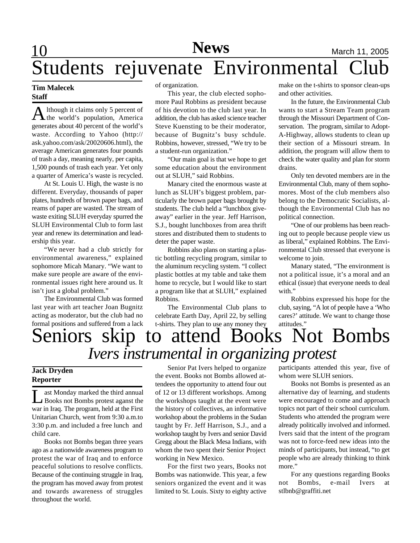# 10 **Sports News** March 11, 2005 Students rejuvenate Environmental Club

## **Tim Malecek Staff**

A lthough it claims only 5 percent of<br>the world's population, America lthough it claims only 5 percent of generates about 40 percent of the world's waste. According to Yahoo (http:// ask.yahoo.com/ask/20020606.html), the average American generates four pounds of trash a day, meaning nearly, per capita, 1,500 pounds of trash each year. Yet only a quarter of America's waste is recycled.

At St. Louis U. High, the waste is no different. Everyday, thousands of paper plates, hundreds of brown paper bags, and reams of paper are wasted. The stream of waste exiting SLUH everyday spurred the SLUH Environmental Club to form last year and renew its determination and leadership this year.

"We never had a club strictly for environmental awareness," explained sophomore Micah Manary. "We want to make sure people are aware of the environmental issues right here around us. It isn't just a global problem."

The Environmental Club was formed last year with art teacher Joan Bugnitz acting as moderator, but the club had no formal positions and suffered from a lack of organization.

This year, the club elected sophomore Paul Robbins as president because of his devotion to the club last year. In addition, the club has asked science teacher Steve Kuensting to be their moderator, because of Bugnitz's busy schdule. Robbins, however, stressed, "We try to be a student-run organization."

"Our main goal is that we hope to get some education about the environment out at SLUH," said Robbins.

Manary cited the enormous waste at lunch as SLUH's biggest problem, particularly the brown paper bags brought by students. The club held a "lunchbox giveaway" earlier in the year. Jeff Harrison, S.J., bought lunchboxes from area thrift stores and distributed them to students to deter the paper waste.

Robbins also plans on starting a plastic bottling recycling program, similar to the aluminum recycling system. "I collect plastic bottles at my table and take them home to recycle, but I would like to start a program like that at SLUH," explained Robbins.

The Environmental Club plans to celebrate Earth Day, April 22, by selling t-shirts. They plan to use any money they

make on the t-shirts to sponsor clean-ups and other activities.

In the future, the Environmental Club wants to start a Stream Team program through the Missouri Department of Conservation. The program, similar to Adopt-A-Highway, allows students to clean up their section of a Missouri stream. In addition, the program will allow them to check the water quality and plan for storm drains.

Only ten devoted members are in the Environmental Club, many of them sophomores. Most of the club members also belong to the Democratic Socialists, although the Environmental Club has no political connection.

"One of our problems has been reaching out to people because people view us as liberal," explained Robbins. The Environmental Club stressed that everyone is welcome to join.

Manary stated, "The environment is not a political issue, it's a moral and an ethical (issue) that everyone needs to deal with."

Robbins expressed his hope for the club, saying, "A lot of people have a 'Who cares?' attitude. We want to change those

## attitudes."<br>S Not Bombs Seniors skip to attend Books *Ivers instrumental in organizing protest*

## **Jack Dryden Reporter**

Let Monday marked the third annual<br>Books not Bombs protest aganst the ast Monday marked the third annual war in Iraq. The program, held at the First Unitarian Church, went from 9:30 a.m.to 3:30 p.m. and included a free lunch and child care.

Books not Bombs began three years ago as a nationwide awareness program to protest the war of Iraq and to enforce peaceful solutions to resolve conflicts. Because of the continuing struggle in Iraq, the program has moved away from protest and towards awareness of struggles throughout the world.

Senior Pat Ivers helped to organize the event. Books not Bombs allowed attendees the opportunity to attend four out of 12 or 13 different workshops. Among the workshops taught at the event were the history of collectives, an informative workshop about the problems in the Sudan taught by Fr. Jeff Harrison, S.J., and a workshop taught by Ivers and senior David Gregg about the Black Mesa Indians, with whom the two spent their Senior Project working in New Mexico.

For the first two years, Books not Bombs was nationwide. This year, a few seniors organized the event and it was limited to St. Louis. Sixty to eighty active participants attended this year, five of whom were SLUH seniors.

Books not Bombs is presented as an alternative day of learning, and students were encouraged to come and approach topics not part of their school curriculum. Students who attended the program were already politically involved and informed. Ivers said that the intent of the program was not to force-feed new ideas into the minds of participants, but instead, "to get people who are already thinking to think more."

For any questions regarding Books not Bombs, e-mail Ivers at stlbnb@graffiti.net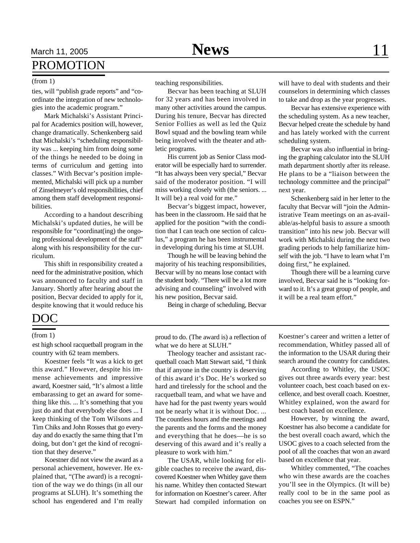## March 11, 2005 **News** 11 PROMOTION

ties, will "publish grade reports" and "coordinate the integration of new technologies into the academic program."

Mark Michalski's Assistant Principal for Academics position will, however, change dramatically. Schenkenberg said that Michalski's "scheduling responsibility was ... keeping him from doing some of the things he needed to be doing in terms of curriculum and getting into classes." With Becvar's position implemented, Michalski will pick up a number of Zinselmeyer's old responsibilities, chief among them staff development responsibilities.

According to a handout describing Michalski's updated duties, he will be responsible for "coordinat(ing) the ongoing professional development of the staff" along with his responsibility for the curriculum.

This shift in responsibility created a need for the administrative position, which was announced to faculty and staff in January. Shortly after hearing about the position, Becvar decided to apply for it, despite knowing that it would reduce his

## (from 1) teaching responsibilities.

Becvar has been teaching at SLUH for 32 years and has been involved in many other activities around the campus. During his tenure, Becvar has directed Senior Follies as well as led the Quiz Bowl squad and the bowling team while being involved with the theater and athletic programs.

His current job as Senior Class moderator will be especially hard to surrender. "It has always been very special," Becvar said of the moderator position. "I will miss working closely with (the seniors. ... It will be) a real void for me."

Becvar's biggest impact, however, has been in the classroom. He said that he applied for the position "with the condition that I can teach one section of calculus," a program he has been instrumental in developing during his time at SLUH.

Though he will be leaving behind the majority of his teaching responsibilities, Becvar will by no means lose contact with the student body. "There will be a lot more advising and counseling" involved with his new position, Becvar said.

Being in charge of scheduling, Becvar

will have to deal with students and their counselors in determining which classes to take and drop as the year progresses.

Becvar has extensive experience with the scheduling system. As a new teacher, Becvar helped create the schedule by hand and has lately worked with the current scheduling system.

Becvar was also influential in bringing the graphing calculator into the SLUH math department shortly after its release. He plans to be a "liaison between the technology committee and the principal" next year.

Schenkenberg said in her letter to the faculty that Becvar will "join the Administrative Team meetings on an as-available/as-helpful basis to assure a smooth transition" into his new job. Becvar will work with Michalski during the next two grading periods to help familiarize himself with the job. "I have to learn what I'm doing first," he explained.

Though there will be a learning curve involved, Becvar said he is "looking forward to it. It's a great group of people, and it will be a real team effort."

## DOC

est high school racquetball program in the country with 62 team members.

Koestner feels "It was a kick to get this award." However, despite his immense achievements and impressive award, Koestner said, "It's almost a little embarassing to get an award for something like this. ... It's something that you just do and that everybody else does ... I keep thinking of the Tom Wilsons and Tim Chiks and John Rosses that go everyday and do exactly the same thing that I'm doing, but don't get the kind of recognition that they deserve."

Koestner did not view the award as a personal achievement, however. He explained that, "(The award) is a recognition of the way we do things (in all our programs at SLUH). It's something the school has engendered and I'm really

(from 1) proud to do. (The award is) a reflection of what we do here at SLUH."

> Theology teacher and assistant racquetball coach Matt Stewart said, "I think that if anyone in the country is deserving of this award it's Doc. He's worked so hard and tirelessly for the school and the racquetball team, and what we have and have had for the past twenty years would not be nearly what it is without Doc. ... The countless hours and the meetings and the parents and the forms and the money and everything that he does—he is so deserving of this award and it's really a pleasure to work with him."

> The USAR, while looking for eligible coaches to receive the award, discovered Koestner when Whitley gave them his name. Whitley then contacted Stewart for information on Koestner's career. After Stewart had compiled information on

Koestner's career and written a letter of recommendation, Whitley passed all of the information to the USAR during their search around the country for candidates.

According to Whitley, the USOC gives out three awards every year: best volunteer coach, best coach based on excellence, and best overall coach. Koestner, Whitley explained, won the award for best coach based on excellence.

However, by winning the award, Koestner has also become a candidate for the best overall coach award, which the USOC gives to a coach selected from the pool of all the coaches that won an award based on excellence that year.

Whitley commented, "The coaches who win these awards are the coaches you'll see in the Olympics. (It will be) really cool to be in the same pool as coaches you see on ESPN."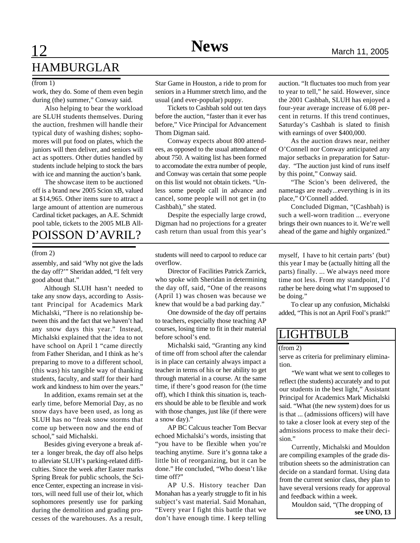## **12 News** March 11, 2005 HAMBURGLAR

work, they do. Some of them even begin during (the) summer," Conway said.

Also helping to bear the workload are SLUH students themselves. During the auction, freshmen will handle their typical duty of washing dishes; sophomores will put food on plates, which the juniors will then deliver, and seniors will act as spotters. Other duties handled by students include helping to stock the bars with ice and manning the auction's bank.

The showcase item to be auctioned off is a brand new 2005 Scion xB, valued at \$14,965. Other items sure to attract a large amount of attention are numerous Cardinal ticket packages, an A.E. Schmidt pool table, tickets to the 2005 MLB All-POISSON D'AVRIL?

assembly, and said 'Why not give the lads the day off?'" Sheridan added, "I felt very good about that."

Although SLUH hasn't needed to take any snow days, according to Assistant Principal for Academics Mark Michalski, "There is no relationship between this and the fact that we haven't had any snow days this year." Instead, Michalski explained that the idea to not have school on April 1 "came directly from Father Sheridan, and I think as he's preparing to move to a different school, (this was) his tangible way of thanking students, faculty, and staff for their hard work and kindness to him over the years."

In addition, exams remain set at the early time, before Memorial Day, as no snow days have been used, as long as SLUH has no "freak snow storms that come up between now and the end of school," said Michalski.

Besides giving everyone a break after a longer break, the day off also helps to alleviate SLUH's parking-related difficulties. Since the week after Easter marks Spring Break for public schools, the Science Center, expecting an increase in visitors, will need full use of their lot, which sophomores presently use for parking during the demolition and grading processes of the warehouses. As a result,

(from 1) Star Game in Houston, a ride to prom for seniors in a Hummer stretch limo, and the usual (and ever-popular) puppy.

> Tickets to Cashbah sold out ten days before the auction, "faster than it ever has before," Vice Principal for Advancement Thom Digman said.

> Conway expects about 800 attendees, as opposed to the usual attendance of about 750. A waiting list has been formed to accomodate the extra number of people, and Conway was certain that some people on this list would not obtain tickets. "Unless some people call in advance and cancel, some people will not get in (to Cashbah)," she stated.

> Despite the especially large crowd, Digman had no projections for a greater cash return than usual from this year's

(from 2) students will need to carpool to reduce car overflow.

> Director of Facilities Patrick Zarrick, who spoke with Sheridan in determining the day off, said, "One of the reasons (April 1) was chosen was because we knew that would be a bad parking day."

> One downside of the day off pertains to teachers, especially those teaching AP courses, losing time to fit in their material before school's end.

> Michalski said, "Granting any kind of time off from school after the calendar is in place can certainly always impact a teacher in terms of his or her ability to get through material in a course. At the same time, if there's good reason for (the time off), which I think this situation is, teachers should be able to be flexible and work with those changes, just like (if there were a snow day)."

> AP BC Calcuus teacher Tom Becvar echoed Michalski's words, insisting that "you have to be flexible when you're teaching anytime. Sure it's gonna take a little bit of reorganizing, but it can be done." He concluded, "Who doesn't like time off?"

> AP U.S. History teacher Dan Monahan has a yearly struggle to fit in his subject's vast material. Said Monahan, "Every year I fight this battle that we don't have enough time. I keep telling

auction. "It fluctuates too much from year to year to tell," he said. However, since the 2001 Cashbah, SLUH has enjoyed a four-year average increase of 6.08 percent in returns. If this trend continues, Saturday's Cashbah is slated to finish with earnings of over \$400,000.

As the auction draws near, neither O'Connell nor Conway anticipated any major setbacks in preparation for Saturday. "The auction just kind of runs itself by this point," Conway said.

"The Scion's been delivered, the nametags are ready...everything is in its place," O'Connell added.

Concluded Digman, "(Cashbah) is such a well-worn tradition ... everyone brings their own nuances to it. We're well ahead of the game and highly organized."

myself, I have to hit certain parts' (but) this year I may be (actually hitting all the parts) finally. ... We always need more time not less. From my standpoint, I'd rather be here doing what I'm supposed to be doing."

To clear up any confusion, Michalski added, "This is not an April Fool's prank!"

## LIGHTBULB

(from 2)

serve as criteria for preliminary elimination.

"We want what we sent to colleges to reflect (the students) accurately and to put our students in the best light," Assistant Principal for Academics Mark Michalski said. "What (the new system) does for us is that ... (admissions officers) will have to take a closer look at every step of the admissions process to make their decision."

Currently, Michalski and Mouldon are compiling examples of the grade distribution sheets so the administration can decide on a standard format. Using data from the current senior class, they plan to have several versions ready for approval and feedback within a week.

Mouldon said, "(The dropping of **see UNO, 13**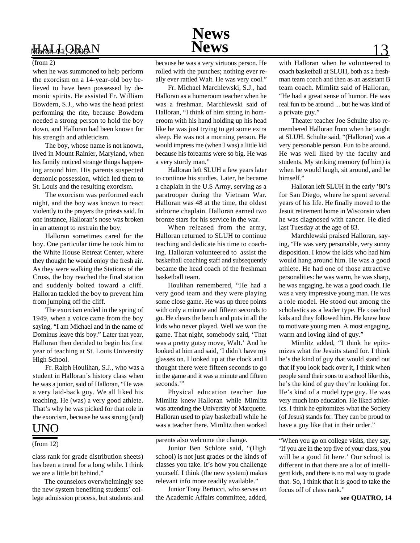

when he was summoned to help perform the exorcism on a 14-year-old boy believed to have been possessed by demonic spirits. He assisted Fr. William Bowdern, S.J., who was the head priest performing the rite, because Bowdern needed a strong person to hold the boy down, and Halloran had been known for his strength and athleticism.

The boy, whose name is not known, lived in Mount Rainier, Maryland, when his family noticed strange things happening around him. His parents suspected demonic possession, which led them to St. Louis and the resulting exorcism.

The exorcism was performed each night, and the boy was known to react violently to the prayers the priests said. In one instance, Halloran's nose was broken in an attempt to restrain the boy.

Halloran sometimes cared for the boy. One particular time he took him to the White House Retreat Center, where they thought he would enjoy the fresh air. As they were walking the Stations of the Cross, the boy reached the final station and suddenly bolted toward a cliff. Halloran tackled the boy to prevent him from jumping off the cliff.

The exorcism ended in the spring of 1949, when a voice came from the boy saying, "I am Michael and in the name of Dominus leave this boy." Later that year, Halloran then decided to begin his first year of teaching at St. Louis University High School.

Fr. Ralph Houlihan, S.J., who was a student in Halloran's history class when he was a junior, said of Halloran, "He was a very laid-back guy. We all liked his teaching. He (was) a very good athlete. That's why he was picked for that role in the exorcism, because he was strong (and)

## UNO

class rank for grade distribution sheets) has been a trend for a long while. I think we are a little bit behind."

The counselors overwhelmingly see the new system benefiting students' college admission process, but students and

(from 2) because he was a very virtuous person. He rolled with the punches; nothing ever really ever rattled Walt. He was very cool."

Fr. Michael Marchlewski, S.J., had Halloran as a homeroom teacher when he was a freshman. Marchlewski said of Halloran, "I think of him sitting in homeroom with his hand holding up his head like he was just trying to get some extra sleep. He was not a morning person. He would impress me (when I was) a little kid because his forearms were so big. He was a very sturdy man."

Halloran left SLUH a few years later to continue his studies. Later, he became a chaplain in the U.S Army, serving as a paratrooper during the Vietnam War. Halloran was 48 at the time, the oldest airborne chaplain. Halloran earned two bronze stars for his service in the war.

When released from the army, Halloran returned to SLUH to continue teaching and dedicate his time to coaching. Halloran volunteered to assist the basketball coaching staff and subsequently became the head coach of the freshman basketball team.

Houlihan remembered, "He had a very good team and they were playing some close game. He was up three points with only a minute and fifteen seconds to go. He clears the bench and puts in all the kids who never played. Well we won the game. That night, somebody said, 'That was a pretty gutsy move, Walt.' And he looked at him and said, 'I didn't have my glasses on. I looked up at the clock and I thought there were fifteen seconds to go in the game and it was a minute and fifteen seconds."

Physical education teacher Joe Mimlitz knew Halloran while Mimlitz was attending the University of Marquette. Halloran used to play basketball while he was a teacher there. Mimlitz then worked

 $(\text{from } 12)$  parents also welcome the change.

Junior Ben Schlote said, "(High school) is not just grades or the kinds of classes you take. It's how you challenge yourself. I think (the new system) makes relevant info more readily available."

Junior Tony Bertucci, who serves on the Academic Affairs committee, added,

with Halloran when he volunteered to coach basketball at SLUH, both as a freshman team coach and then as an assistant B team coach. Mimlitz said of Halloran, "He had a great sense of humor. He was real fun to be around ... but he was kind of a private guy."

Theater teacher Joe Schulte also remembered Halloran from when he taught at SLUH. Schulte said, "(Halloran) was a very personable person. Fun to be around. He was well liked by the faculty and students. My striking memory (of him) is when he would laugh, sit around, and be himself."

Halloran left SLUH in the early '80's for San Diego, where he spent several years of his life. He finally moved to the Jesuit retirement home in Wisconsin when he was diagnosed with cancer. He died last Tuesday at the age of 83.

Marchlewski praised Halloran, saying, "He was very personable, very sunny disposition. I know the kids who had him would hang around him. He was a good athlete. He had one of those attractive personalities: he was warm, he was sharp, he was engaging, he was a good coach. He was a very impressive young man. He was a role model. He stood out among the scholastics as a leader type. He coached kids and they followed him. He knew how to motivate young men. A most engaging, warm and loving kind of guy."

Mimlitz added, "I think he epitomizes what the Jesuits stand for. I think he's the kind of guy that would stand out that if you look back over it, I think when people send their sons to a school like this, he's the kind of guy they're looking for. He's kind of a model type guy. He was very much into education. He liked athletics. I think he epitomizes what the Society (of Jesus) stands for. They can be proud to have a guy like that in their order."

"When you go on college visits, they say, 'If you are in the top five of your class, you will be a good fit here.' Our school is different in that there are a lot of intelligent kids, and there is no real way to grade that. So, I think that it is good to take the focus off of class rank."

**see QUATRO, 14**